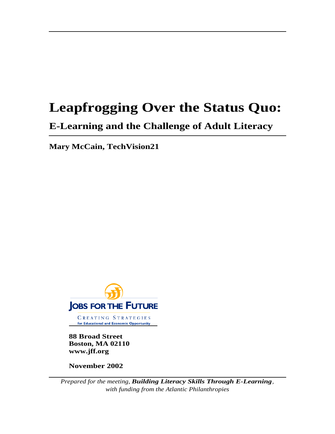# **Leapfrogging Over the Status Quo:**

# **E-Learning and the Challenge of Adult Literacy**

**Mary McCain, TechVision21**



CREATING STRATEGIES for Educational and Economic Opportunity

**88 Broad Street Boston, MA 02110 www.jff.org**

**November 2002**

*Prepared for the meeting, Building Literacy Skills Through E-Learning, with funding from the Atlantic Philanthropies*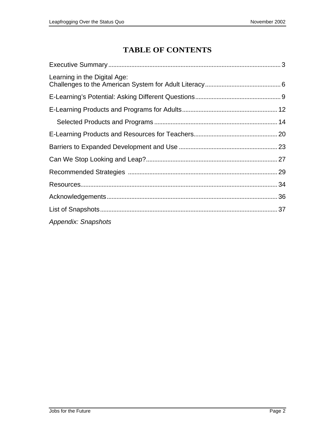## **TABLE OF CONTENTS**

| Learning in the Digital Age: |  |
|------------------------------|--|
|                              |  |
|                              |  |
|                              |  |
|                              |  |
|                              |  |
|                              |  |
|                              |  |
|                              |  |
|                              |  |
|                              |  |
| <b>Appendix: Snapshots</b>   |  |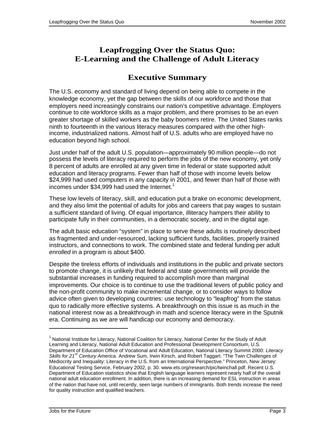### **Leapfrogging Over the Status Quo: E-Learning and the Challenge of Adult Literacy**

### **Executive Summary**

The U.S. economy and standard of living depend on being able to compete in the knowledge economy, yet the gap between the skills of our workforce and those that employers need increasingly constrains our nation's competitive advantage. Employers continue to cite workforce skills as a major problem, and there promises to be an even greater shortage of skilled workers as the baby boomers retire. The United States ranks ninth to fourteenth in the various literacy measures compared with the other highincome, industrialized nations. Almost half of U.S. adults who are employed have no education beyond high school.

Just under half of the adult U.S. population—approximately 90 million people—do not possess the levels of literacy required to perform the jobs of the new economy, yet only 8 percent of adults are enrolled at any given time in federal or state supported adult education and literacy programs. Fewer than half of those with income levels below \$24,999 had used computers in any capacity in 2001, and fewer than half of those with incomes under \$34,999 had used the Internet.<sup>1</sup>

These low levels of literacy, skill, and education put a brake on economic development, and they also limit the potential of adults for jobs and careers that pay wages to sustain a sufficient standard of living. Of equal importance, illiteracy hampers their ability to participate fully in their communities, in a democratic society, and in the digital age.

The adult basic education "system" in place to serve these adults is routinely described as fragmented and under-resourced, lacking sufficient funds, facilities, properly trained instructors, and connections to work. The combined state and federal funding per adult enrolled in a program is about \$400.

Despite the tireless efforts of individuals and institutions in the public and private sectors to promote change, it is unlikely that federal and state governments will provide the substantial increases in funding required to accomplish more than marginal improvements. Our choice is to continue to use the traditional levers of public policy and the non-profit community to make incremental change, or to consider ways to follow advice often given to developing countries: use technology to "leapfrog" from the status quo to radically more effective systems. A breakthrough on this issue is as much in the national interest now as a breakthrough in math and science literacy were in the Sputnik era. Continuing as we are will handicap our economy and democracy.

<sup>&</sup>lt;sup>1</sup> National Institute for Literacy, National Coalition for Literacy, National Center for the Study of Adult Learning and Literacy, National Adult Education and Professional Development Consortium, U.S. Department of Education Office of Vocational and Adult Education, National Literacy Summit 2000: Literacy Skills for 21<sup>st</sup> Century America. Andrew Sum, Irwin Kirsch, and Robert Taggart. "The Twin Challenges of Mediocrity and Inequality: Literacy in the U.S. from an International Perspective." Princeton, New Jersey: Educational Testing Service, February 2002, p. 30. www.ets.org/research/pic/twinchall.pdf. Recent U.S. Department of Education statistics show that English language learners represent nearly half of the overall national adult education enrollment. In addition, there is an increasing demand for ESL instruction in areas of the nation that have not, until recently, seen large numbers of immigrants. Both trends increase the need for quality instruction and qualified teachers.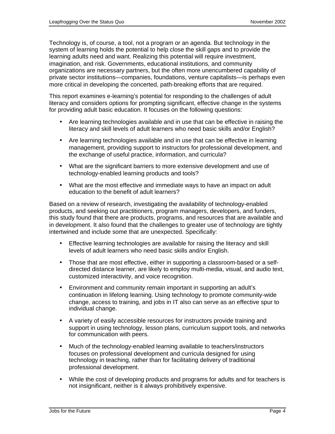Technology is, of course, a tool, not a program or an agenda. But technology in the system of learning holds the potential to help close the skill gaps and to provide the learning adults need and want. Realizing this potential will require investment, imagination, and risk. Governments, educational institutions, and community organizations are necessary partners, but the often more unencumbered capability of private sector institutions—companies, foundations, venture capitalists—is perhaps even more critical in developing the concerted, path-breaking efforts that are required.

This report examines e-learning's potential for responding to the challenges of adult literacy and considers options for prompting significant, effective change in the systems for providing adult basic education. It focuses on the following questions:

- Are learning technologies available and in use that can be effective in raising the literacy and skill levels of adult learners who need basic skills and/or English?
- Are learning technologies available and in use that can be effective in learning management, providing support to instructors for professional development, and the exchange of useful practice, information, and curricula?
- What are the significant barriers to more extensive development and use of technology-enabled learning products and tools?
- What are the most effective and immediate ways to have an impact on adult education to the benefit of adult learners?

Based on a review of research, investigating the availability of technology-enabled products, and seeking out practitioners, program managers, developers, and funders, this study found that there are products, programs, and resources that are available and in development. It also found that the challenges to greater use of technology are tightly intertwined and include some that are unexpected. Specifically:

- Effective learning technologies are available for raising the literacy and skill levels of adult learners who need basic skills and/or English.
- Those that are most effective, either in supporting a classroom-based or a selfdirected distance learner, are likely to employ multi-media, visual, and audio text, customized interactivity, and voice recognition.
- Environment and community remain important in supporting an adult's continuation in lifelong learning. Using technology to promote community-wide change, access to training, and jobs in IT also can serve as an effective spur to individual change.
- A variety of easily accessible resources for instructors provide training and support in using technology, lesson plans, curriculum support tools, and networks for communication with peers.
- Much of the technology-enabled learning available to teachers/instructors focuses on professional development and curricula designed for using technology in teaching, rather than for facilitating delivery of traditional professional development.
- While the cost of developing products and programs for adults and for teachers is not insignificant, neither is it always prohibitively expensive.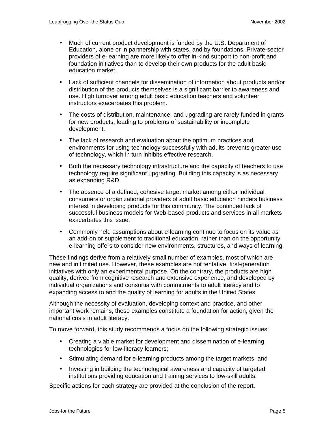- Much of current product development is funded by the U.S. Department of Education, alone or in partnership with states, and by foundations. Private-sector providers of e-learning are more likely to offer in-kind support to non-profit and foundation initiatives than to develop their own products for the adult basic education market.
- Lack of sufficient channels for dissemination of information about products and/or distribution of the products themselves is a significant barrier to awareness and use. High turnover among adult basic education teachers and volunteer instructors exacerbates this problem.
- The costs of distribution, maintenance, and upgrading are rarely funded in grants for new products, leading to problems of sustainability or incomplete development.
- The lack of research and evaluation about the optimum practices and environments for using technology successfully with adults prevents greater use of technology, which in turn inhibits effective research.
- Both the necessary technology infrastructure and the capacity of teachers to use technology require significant upgrading. Building this capacity is as necessary as expanding R&D.
- The absence of a defined, cohesive target market among either individual consumers or organizational providers of adult basic education hinders business interest in developing products for this community. The continued lack of successful business models for Web-based products and services in all markets exacerbates this issue.
- Commonly held assumptions about e-learning continue to focus on its value as an add-on or supplement to traditional education, rather than on the opportunity e-learning offers to consider new environments, structures, and ways of learning.

These findings derive from a relatively small number of examples, most of which are new and in limited use. However, these examples are not tentative, first-generation initiatives with only an experimental purpose. On the contrary, the products are high quality, derived from cognitive research and extensive experience, and developed by individual organizations and consortia with commitments to adult literacy and to expanding access to and the quality of learning for adults in the United States.

Although the necessity of evaluation, developing context and practice, and other important work remains, these examples constitute a foundation for action, given the national crisis in adult literacy.

To move forward, this study recommends a focus on the following strategic issues:

- Creating a viable market for development and dissemination of e-learning technologies for low-literacy learners;
- Stimulating demand for e-learning products among the target markets; and
- Investing in building the technological awareness and capacity of targeted institutions providing education and training services to low-skill adults.

Specific actions for each strategy are provided at the conclusion of the report.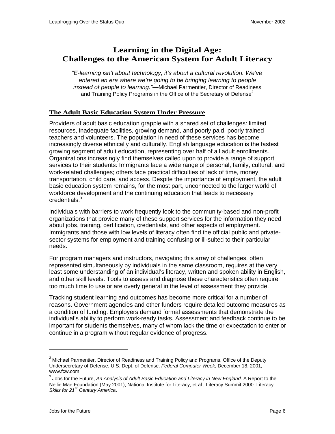### **Learning in the Digital Age: Challenges to the American System for Adult Literacy**

"E-learning isn't about technology, it's about a cultural revolution. We've entered an era where we're going to be bringing learning to people instead of people to learning."—Michael Parmentier, Director of Readiness and Training Policy Programs in the Office of the Secretary of Defense<sup>2</sup>

#### **The Adult Basic Education System Under Pressure**

Providers of adult basic education grapple with a shared set of challenges: limited resources, inadequate facilities, growing demand, and poorly paid, poorly trained teachers and volunteers. The population in need of these services has become increasingly diverse ethnically and culturally. English language education is the fastest growing segment of adult education, representing over half of all adult enrollments. Organizations increasingly find themselves called upon to provide a range of support services to their students: Immigrants face a wide range of personal, family, cultural, and work-related challenges; others face practical difficulties of lack of time, money, transportation, child care, and access. Despite the importance of employment, the adult basic education system remains, for the most part, unconnected to the larger world of workforce development and the continuing education that leads to necessary credentials.<sup>3</sup>

Individuals with barriers to work frequently look to the community-based and non-profit organizations that provide many of these support services for the information they need about jobs, training, certification, credentials, and other aspects of employment. Immigrants and those with low levels of literacy often find the official public and privatesector systems for employment and training confusing or ill-suited to their particular needs.

For program managers and instructors, navigating this array of challenges, often represented simultaneously by individuals in the same classroom, requires at the very least some understanding of an individual's literacy, written and spoken ability in English, and other skill levels. Tools to assess and diagnose these characteristics often require too much time to use or are overly general in the level of assessment they provide.

Tracking student learning and outcomes has become more critical for a number of reasons. Government agencies and other funders require detailed outcome measures as a condition of funding. Employers demand formal assessments that demonstrate the individual's ability to perform work-ready tasks. Assessment and feedback continue to be important for students themselves, many of whom lack the time or expectation to enter or continue in a program without regular evidence of progress.

l

 $^2$  Michael Parmentier, Director of Readiness and Training Policy and Programs, Office of the Deputy Undersecretary of Defense, U.S. Dept. of Defense. Federal Computer Week, December 18, 2001, www.fcw.com.

 $^3$  Jobs for the Future, An Analysis of Adult Basic Education and Literacy in New England. A Report to the Nellie Mae Foundation (May 2001); National Institute for Literacy, et al., Literacy Summit 2000: Literacy Skills for  $21<sup>st</sup>$  Century America.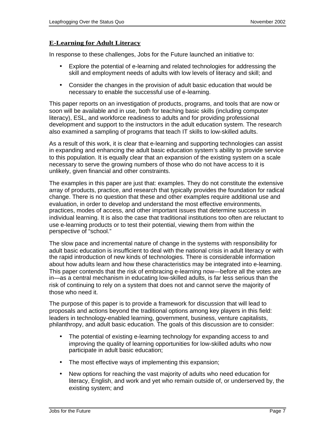#### **E-Learning for Adult Literacy**

In response to these challenges, Jobs for the Future launched an initiative to:

- Explore the potential of e-learning and related technologies for addressing the skill and employment needs of adults with low levels of literacy and skill; and
- Consider the changes in the provision of adult basic education that would be necessary to enable the successful use of e-learning.

This paper reports on an investigation of products, programs, and tools that are now or soon will be available and in use, both for teaching basic skills (including computer literacy), ESL, and workforce readiness to adults and for providing professional development and support to the instructors in the adult education system. The research also examined a sampling of programs that teach IT skills to low-skilled adults.

As a result of this work, it is clear that e-learning and supporting technologies can assist in expanding and enhancing the adult basic education system's ability to provide service to this population. It is equally clear that an expansion of the existing system on a scale necessary to serve the growing numbers of those who do not have access to it is unlikely, given financial and other constraints.

The examples in this paper are just that: examples. They do not constitute the extensive array of products, practice, and research that typically provides the foundation for radical change. There is no question that these and other examples require additional use and evaluation, in order to develop and understand the most effective environments, practices, modes of access, and other important issues that determine success in individual learning. It is also the case that traditional institutions too often are reluctant to use e-learning products or to test their potential, viewing them from within the perspective of "school."

The slow pace and incremental nature of change in the systems with responsibility for adult basic education is insufficient to deal with the national crisis in adult literacy or with the rapid introduction of new kinds of technologies. There is considerable information about how adults learn and how these characteristics may be integrated into e-learning. This paper contends that the risk of embracing e-learning now—before all the votes are in—as a central mechanism in educating low-skilled adults, is far less serious than the risk of continuing to rely on a system that does not and cannot serve the majority of those who need it.

The purpose of this paper is to provide a framework for discussion that will lead to proposals and actions beyond the traditional options among key players in this field: leaders in technology-enabled learning, government, business, venture capitalists, philanthropy, and adult basic education. The goals of this discussion are to consider:

- The potential of existing e-learning technology for expanding access to and improving the quality of learning opportunities for low-skilled adults who now participate in adult basic education;
- The most effective ways of implementing this expansion;
- New options for reaching the vast majority of adults who need education for literacy, English, and work and yet who remain outside of, or underserved by, the existing system; and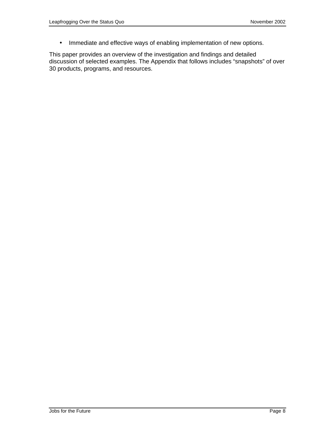• Immediate and effective ways of enabling implementation of new options.

This paper provides an overview of the investigation and findings and detailed discussion of selected examples. The Appendix that follows includes "snapshots" of over 30 products, programs, and resources.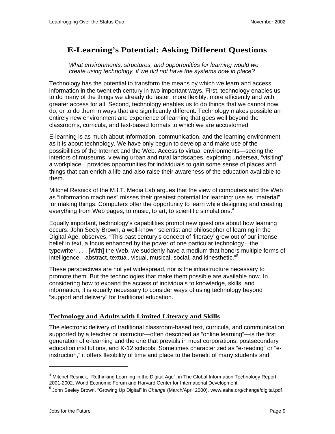### **E-Learning's Potential: Asking Different Questions**

What environments, structures, and opportunities for learning would we create using technology, if we did not have the systems now in place?

Technology has the potential to transform the means by which we learn and access information in the twentieth century in two important ways. First, technology enables us to do many of the things we already do faster, more flexibly, more efficiently and with greater access for all. Second, technology enables us to do things that we cannot now do, or to do them in ways that are significantly different. Technology makes possible an entirely new environment and experience of learning that goes well beyond the classrooms, curricula, and text-based formats to which we are accustomed.

E-learning is as much about information, communication, and the learning environment as it is about technology. We have only begun to develop and make use of the possibilities of the Internet and the Web. Access to virtual environments—seeing the interiors of museums, viewing urban and rural landscapes, exploring undersea, "visiting" a workplace—provides opportunities for individuals to gain some sense of places and things that can enrich a life and also raise their awareness of the education available to them.

Mitchel Resnick of the M.I.T. Media Lab argues that the view of computers and the Web as "information machines" misses their greatest potential for learning: use as "material" for making things. Computers offer the opportunity to learn while designing and creating everything from Web pages, to music, to art, to scientific simulations.<sup>4</sup>

Equally important, technology's capabilities prompt new questions about how learning occurs. John Seely Brown, a well-known scientist and philosopher of learning in the Digital Age, observes, "This past century's concept of 'literacy' grew out of our intense belief in text, a focus enhanced by the power of one particular technology—the typewriter. . . . [With] the Web, we suddenly have a medium that honors multiple forms of intelligence—abstract, textual, visual, musical, social, and kinesthetic."<sup>5</sup>

These perspectives are not yet widespread, nor is the infrastructure necessary to promote them. But the technologies that make them possible are available now. In considering how to expand the access of individuals to knowledge, skills, and information, it is equally necessary to consider ways of using technology beyond "support and delivery" for traditional education.

#### **Technology and Adults with Limited Literacy and Skills**

The electronic delivery of traditional classroom-based text, curricula, and communication supported by a teacher or instructor—often described as "online learning"—is the first generation of e-learning and the one that prevails in most corporations, postsecondary education institutions, and K-12 schools. Sometimes characterized as "e-reading" or "einstruction," it offers flexibility of time and place to the benefit of many students and

 $4$  Mitchel Resnick, "Rethinking Learning in the Digital Age", in The Global Information Technology Report: 2001-2002. World Economic Forum and Harvard Center for International Development.

<sup>&</sup>lt;sup>5</sup> John Seeley Brown, "Growing Up Digital" in *Change* (March/April 2000). www.aahe.org/change/digital.pdf.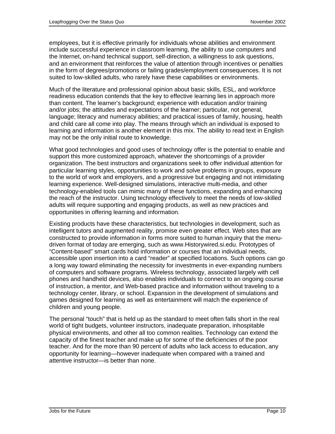employees, but it is effective primarily for individuals whose abilities and environment include successful experience in classroom learning, the ability to use computers and the Internet, on-hand technical support, self-direction, a willingness to ask questions, and an environment that reinforces the value of attention through incentives or penalties in the form of degrees/promotions or failing grades/employment consequences. It is not suited to low-skilled adults, who rarely have these capabilities or environments.

Much of the literature and professional opinion about basic skills, ESL, and workforce readiness education contends that the key to effective learning lies in approach more than content. The learner's background; experience with education and/or training and/or jobs; the attitudes and expectations of the learner; particular, not general, language; literacy and numeracy abilities; and practical issues of family, housing, health and child care all come into play. The means through which an individual is exposed to learning and information is another element in this mix. The ability to read text in English may not be the only initial route to knowledge.

What good technologies and good uses of technology offer is the potential to enable and support this more customized approach, whatever the shortcomings of a provider organization. The best instructors and organizations seek to offer individual attention for particular learning styles, opportunities to work and solve problems in groups, exposure to the world of work and employers, and a progressive but engaging and not intimidating learning experience. Well-designed simulations, interactive multi-media, and other technology-enabled tools can mimic many of these functions, expanding and enhancing the reach of the instructor. Using technology effectively to meet the needs of low-skilled adults will require supporting and engaging products, as well as new practices and opportunities in offering learning and information.

Existing products have these characteristics, but technologies in development, such as intelligent tutors and augmented reality, promise even greater effect. Web sites that are constructed to provide information in forms more suited to human inquiry that the menudriven format of today are emerging, such as www.Historywired.si.edu. Prototypes of "Content-based" smart cards hold information or courses that an individual needs, accessible upon insertion into a card "reader" at specified locations. Such options can go a long way toward eliminating the necessity for investments in ever-expanding numbers of computers and software programs. Wireless technology, associated largely with cell phones and handheld devices, also enables individuals to connect to an ongoing course of instruction, a mentor, and Web-based practice and information without traveling to a technology center, library, or school. Expansion in the development of simulations and games designed for learning as well as entertainment will match the experience of children and young people.

The personal "touch" that is held up as the standard to meet often falls short in the real world of tight budgets, volunteer instructors, inadequate preparation, inhospitable physical environments, and other all too common realities. Technology can extend the capacity of the finest teacher and make up for some of the deficiencies of the poor teacher. And for the more than 90 percent of adults who lack access to education, any opportunity for learning—however inadequate when compared with a trained and attentive instructor—is better than none.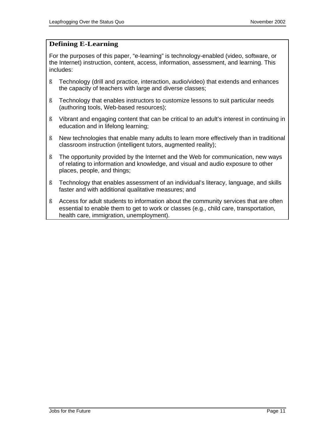#### **Defining E-Learning**

For the purposes of this paper, "e-learning" is technology-enabled (video, software, or the Internet) instruction, content, access, information, assessment, and learning. This includes:

- ß Technology (drill and practice, interaction, audio/video) that extends and enhances the capacity of teachers with large and diverse classes;
- ß Technology that enables instructors to customize lessons to suit particular needs (authoring tools, Web-based resources);
- ß Vibrant and engaging content that can be critical to an adult's interest in continuing in education and in lifelong learning;
- ß New technologies that enable many adults to learn more effectively than in traditional classroom instruction (intelligent tutors, augmented reality);
- ß The opportunity provided by the Internet and the Web for communication, new ways of relating to information and knowledge, and visual and audio exposure to other places, people, and things;
- ß Technology that enables assessment of an individual's literacy, language, and skills faster and with additional qualitative measures; and
- ß Access for adult students to information about the community services that are often essential to enable them to get to work or classes (e.g., child care, transportation, health care, immigration, unemployment).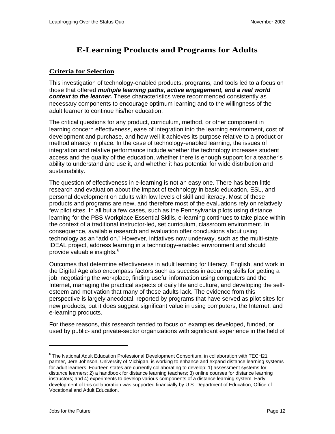### **E-Learning Products and Programs for Adults**

#### **Criteria for Selection**

This investigation of technology-enabled products, programs, and tools led to a focus on those that offered **multiple learning paths, active engagement, and a real world context to the learner.** These characteristics were recommended consistently as necessary components to encourage optimum learning and to the willingness of the adult learner to continue his/her education.

The critical questions for any product, curriculum, method, or other component in learning concern effectiveness, ease of integration into the learning environment, cost of development and purchase, and how well it achieves its purpose relative to a product or method already in place. In the case of technology-enabled learning, the issues of integration and relative performance include whether the technology increases student access and the quality of the education, whether there is enough support for a teacher's ability to understand and use it, and whether it has potential for wide distribution and sustainability.

The question of effectiveness in e-learning is not an easy one. There has been little research and evaluation about the impact of technology in basic education, ESL, and personal development on adults with low levels of skill and literacy. Most of these products and programs are new, and therefore most of the evaluations rely on relatively few pilot sites. In all but a few cases, such as the Pennsylvania pilots using distance learning for the PBS Workplace Essential Skills, e-learning continues to take place within the context of a traditional instructor-led, set curriculum, classroom environment. In consequence, available research and evaluation offer conclusions about using technology as an "add on." However, initiatives now underway, such as the multi-state IDEAL project, address learning in a technology-enabled environment and should provide valuable insights.<sup>6</sup>

Outcomes that determine effectiveness in adult learning for literacy, English, and work in the Digital Age also encompass factors such as success in acquiring skills for getting a job, negotiating the workplace, finding useful information using computers and the Internet, managing the practical aspects of daily life and culture, and developing the selfesteem and motivation that many of these adults lack. The evidence from this perspective is largely anecdotal, reported by programs that have served as pilot sites for new products, but it does suggest significant value in using computers, the Internet, and e-learning products.

For these reasons, this research tended to focus on examples developed, funded, or used by public- and private-sector organizations with significant experience in the field of

 $^6$  The National Adult Education Professional Development Consortium, in collaboration with TECH21 partner, Jere Johnson, University of Michigan, is working to enhance and expand distance learning systems for adult learners. Fourteen states are currently collaborating to develop: 1) assessment systems for distance learners; 2) a handbook for distance learning teachers; 3) online courses for distance learning instructors; and 4) experiments to develop various components of a distance learning system. Early development of this collaboration was supported financially by U.S. Department of Education, Office of Vocational and Adult Education.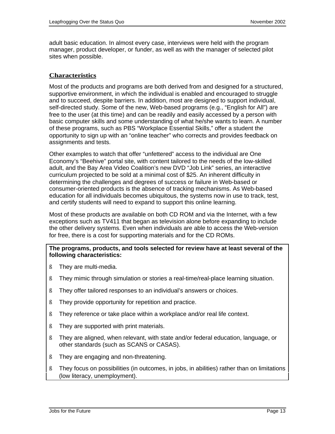adult basic education. In almost every case, interviews were held with the program manager, product developer, or funder, as well as with the manager of selected pilot sites when possible.

#### **Characteristics**

Most of the products and programs are both derived from and designed for a structured, supportive environment, in which the individual is enabled and encouraged to struggle and to succeed, despite barriers. In addition, most are designed to support individual, self-directed study. Some of the new, Web-based programs (e.g., "English for All") are free to the user (at this time) and can be readily and easily accessed by a person with basic computer skills and some understanding of what he/she wants to learn. A number of these programs, such as PBS "Workplace Essential Skills," offer a student the opportunity to sign up with an "online teacher" who corrects and provides feedback on assignments and tests.

Other examples to watch that offer "unfettered" access to the individual are One Economy's "Beehive" portal site, with content tailored to the needs of the low-skilled adult, and the Bay Area Video Coalition's new DVD "Job Link" series, an interactive curriculum projected to be sold at a minimal cost of \$25. An inherent difficulty in determining the challenges and degrees of success or failure in Web-based or consumer-oriented products is the absence of tracking mechanisms. As Web-based education for all individuals becomes ubiquitous, the systems now in use to track, test, and certify students will need to expand to support this online learning.

Most of these products are available on both CD ROM and via the Internet, with a few exceptions such as TV411 that began as television alone before expanding to include the other delivery systems. Even when individuals are able to access the Web-version for free, there is a cost for supporting materials and for the CD ROMs.

#### **The programs, products, and tools selected for review have at least several of the following characteristics:**

- ß They are multi-media.
- ß They mimic through simulation or stories a real-time/real-place learning situation.
- ß They offer tailored responses to an individual's answers or choices.
- ß They provide opportunity for repetition and practice.
- ß They reference or take place within a workplace and/or real life context.
- ß They are supported with print materials.
- ß They are aligned, when relevant, with state and/or federal education, language, or other standards (such as SCANS or CASAS).
- ß They are engaging and non-threatening.
- ß They focus on possibilities (in outcomes, in jobs, in abilities) rather than on limitations (low literacy, unemployment).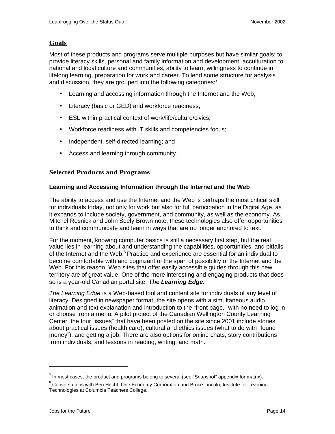#### **Goals**

Most of these products and programs serve multiple purposes but have similar goals: to provide literacy skills, personal and family information and development, acculturation to national and local culture and communities, ability to learn, willingness to continue in lifelong learning, preparation for work and career. To lend some structure for analysis and discussion, they are grouped into the following categories: $<sup>7</sup>$ </sup>

- Learning and accessing information through the Internet and the Web;
- Literacy (basic or GED) and workforce readiness;
- ESL within practical context of work/life/culture/civics;
- Workforce readiness with IT skills and competencies focus;
- Independent, self-directed learning; and
- Access and learning through community.

#### **Selected Products and Programs**

#### **Learning and Accessing Information through the Internet and the Web**

The ability to access and use the Internet and the Web is perhaps the most critical skill for individuals today, not only for work but also for full participation in the Digital Age, as it expands to include society, government, and community, as well as the economy. As Mitchel Resnick and John Seely Brown note, these technologies also offer opportunities to think and communicate and learn in ways that are no longer anchored to text.

For the moment, knowing computer basics is still a necessary first step, but the real value lies in learning about and understanding the capabilities, opportunities, and pitfalls of the Internet and the Web.<sup>8</sup> Practice and experience are essential for an individual to become comfortable with and cognizant of the span of possibility of the Internet and the Web. For this reason, Web sites that offer easily accessible guides through this new territory are of great value. One of the more interesting and engaging products that does so is a year-old Canadian portal site: **The Learning Edge.**

The Learning Edge is a Web-based tool and content site for individuals of any level of literacy. Designed in newspaper format, the site opens with a simultaneous audio, animation and text explanation and introduction to the "front page," with no need to log in or choose from a menu. A pilot project of the Canadian Wellington County Learning Center, the four "issues" that have been posted on the site since 2001 include stories about practical issues (health care), cultural and ethics issues (what to do with "found money"), and getting a job. There are also options for online chats, story contributions from individuals, and lessons in reading, writing, and math.

 $^7$  In most cases, the product and programs belong to several (see "Snapshot" appendix for matrix).

 $^8$  Conversations with Ben Hecht, One Economy Corporation and Bruce Lincoln, Institute for Learning Technologies at Columbia Teachers College.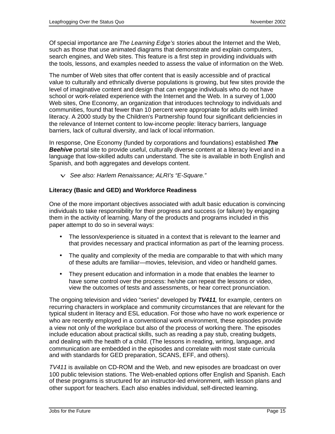Of special importance are The Learning Edge's stories about the Internet and the Web, such as those that use animated diagrams that demonstrate and explain computers, search engines, and Web sites. This feature is a first step in providing individuals with the tools, lessons, and examples needed to assess the value of information on the Web.

The number of Web sites that offer content that is easily accessible and of practical value to culturally and ethnically diverse populations is growing, but few sites provide the level of imaginative content and design that can engage individuals who do not have school or work-related experience with the Internet and the Web. In a survey of 1,000 Web sites, One Economy, an organization that introduces technology to individuals and communities, found that fewer than 10 percent were appropriate for adults with limited literacy. A 2000 study by the Children's Partnership found four significant deficiencies in the relevance of Internet content to low-income people: literacy barriers, language barriers, lack of cultural diversity, and lack of local information.

In response, One Economy (funded by corporations and foundations) established **The Beehive** portal site to provide useful, culturally diverse content at a literacy level and in a language that low-skilled adults can understand. The site is available in both English and Spanish, and both aggregates and develops content.

v See also: Harlem Renaissance; ALRI's "E-Square."

#### **Literacy (Basic and GED) and Workforce Readiness**

One of the more important objectives associated with adult basic education is convincing individuals to take responsibility for their progress and success (or failure) by engaging them in the activity of learning. Many of the products and programs included in this paper attempt to do so in several ways:

- The lesson/experience is situated in a context that is relevant to the learner and that provides necessary and practical information as part of the learning process.
- The quality and complexity of the media are comparable to that with which many of these adults are familiar—movies, television, and video or handheld games.
- They present education and information in a mode that enables the learner to have some control over the process: he/she can repeat the lessons or video, view the outcomes of tests and assessments, or hear correct pronunciation.

The ongoing television and video "series" developed by **TV411**, for example, centers on recurring characters in workplace and community circumstances that are relevant for the typical student in literacy and ESL education. For those who have no work experience or who are recently employed in a conventional work environment, these episodes provide a view not only of the workplace but also of the process of working there. The episodes include education about practical skills, such as reading a pay stub, creating budgets, and dealing with the health of a child. (The lessons in reading, writing, language, and communication are embedded in the episodes and correlate with most state curricula and with standards for GED preparation, SCANS, EFF, and others).

TV411 is available on CD-ROM and the Web, and new episodes are broadcast on over 100 public television stations. The Web-enabled options offer English and Spanish. Each of these programs is structured for an instructor-led environment, with lesson plans and other support for teachers. Each also enables individual, self-directed learning.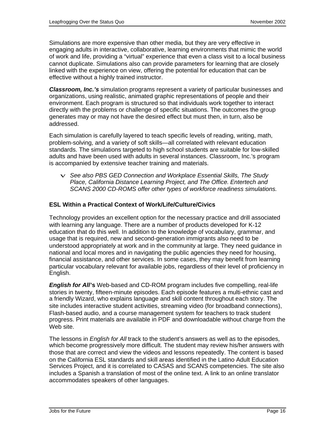Simulations are more expensive than other media, but they are very effective in engaging adults in interactive, collaborative, learning environments that mimic the world of work and life, providing a "virtual" experience that even a class visit to a local business cannot duplicate. Simulations also can provide parameters for learning that are closely linked with the experience on view, offering the potential for education that can be effective without a highly trained instructor.

**Classroom, Inc.'s** simulation programs represent a variety of particular businesses and organizations, using realistic, animated graphic representations of people and their environment. Each program is structured so that individuals work together to interact directly with the problems or challenge of specific situations. The outcomes the group generates may or may not have the desired effect but must then, in turn, also be addressed.

Each simulation is carefully layered to teach specific levels of reading, writing, math, problem-solving, and a variety of soft skills—all correlated with relevant education standards. The simulations targeted to high school students are suitable for low-skilled adults and have been used with adults in several instances. Classroom, Inc.'s program is accompanied by extensive teacher training and materials.

 $\vee$  See also PBS GED Connection and Workplace Essential Skills, The Study Place, California Distance Learning Project, and The Office. Entertech and SCANS 2000 CD-ROMS offer other types of workforce readiness simulations.

#### **ESL Within a Practical Context of Work/Life/Culture/Civics**

Technology provides an excellent option for the necessary practice and drill associated with learning any language. There are a number of products developed for K-12 education that do this well. In addition to the knowledge of vocabulary, grammar, and usage that is required, new and second-generation immigrants also need to be understood appropriately at work and in the community at large. They need guidance in national and local mores and in navigating the public agencies they need for housing, financial assistance, and other services. In some cases, they may benefit from learning particular vocabulary relevant for available jobs, regardless of their level of proficiency in English.

**English for All's** Web-based and CD-ROM program includes five compelling, real-life stories in twenty, fifteen-minute episodes. Each episode features a multi-ethnic cast and a friendly Wizard, who explains language and skill content throughout each story. The site includes interactive student activities, streaming video (for broadband connections), Flash-based audio, and a course management system for teachers to track student progress. Print materials are available in PDF and downloadable without charge from the Web site.

The lessons in *English for All* track to the student's answers as well as to the episodes, which become progressively more difficult. The student may review his/her answers with those that are correct and view the videos and lessons repeatedly. The content is based on the California ESL standards and skill areas identified in the Latino Adult Education Services Project, and it is correlated to CASAS and SCANS competencies. The site also includes a Spanish a translation of most of the online text. A link to an online translator accommodates speakers of other languages.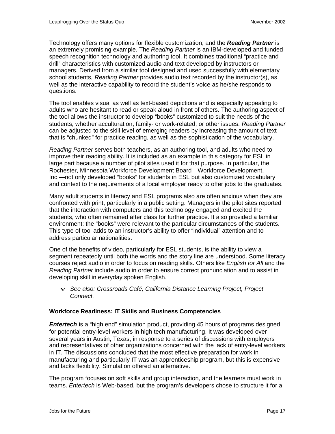Technology offers many options for flexible customization, and the **Reading Partner** is an extremely promising example. The Reading Partner is an IBM-developed and funded speech recognition technology and authoring tool. It combines traditional "practice and drill" characteristics with customized audio and text developed by instructors or managers. Derived from a similar tool designed and used successfully with elementary school students, Reading Partner provides audio text recorded by the instructor(s), as well as the interactive capability to record the student's voice as he/she responds to questions.

The tool enables visual as well as text-based depictions and is especially appealing to adults who are hesitant to read or speak aloud in front of others. The authoring aspect of the tool allows the instructor to develop "books" customized to suit the needs of the students, whether acculturation, family- or work-related, or other issues. Reading Partner can be adjusted to the skill level of emerging readers by increasing the amount of text that is "chunked" for practice reading, as well as the sophistication of the vocabulary.

Reading Partner serves both teachers, as an authoring tool, and adults who need to improve their reading ability. It is included as an example in this category for ESL in large part because a number of pilot sites used it for that purpose. In particular, the Rochester, Minnesota Workforce Development Board—Workforce Development, Inc.—not only developed "books" for students in ESL but also customized vocabulary and context to the requirements of a local employer ready to offer jobs to the graduates.

Many adult students in literacy and ESL programs also are often anxious when they are confronted with print, particularly in a public setting. Managers in the pilot sites reported that the interaction with computers and this technology engaged and excited the students, who often remained after class for further practice. It also provided a familiar environment: the "books" were relevant to the particular circumstances of the students. This type of tool adds to an instructor's ability to offer "individual" attention and to address particular nationalities.

One of the benefits of video, particularly for ESL students, is the ability to view a segment repeatedly until both the words and the story line are understood. Some literacy courses reject audio in order to focus on reading skills. Others like English for All and the Reading Partner include audio in order to ensure correct pronunciation and to assist in developing skill in everyday spoken English.

 $\vee$  See also: Crossroads Café, California Distance Learning Project, Project Connect.

#### **Workforce Readiness: IT Skills and Business Competencies**

**Entertech** is a "high end" simulation product, providing 45 hours of programs designed for potential entry-level workers in high tech manufacturing. It was developed over several years in Austin, Texas, in response to a series of discussions with employers and representatives of other organizations concerned with the lack of entry-level workers in IT. The discussions concluded that the most effective preparation for work in manufacturing and particularly IT was an apprenticeship program, but this is expensive and lacks flexibility. Simulation offered an alternative.

The program focuses on soft skills and group interaction, and the learners must work in teams. *Entertech* is Web-based, but the program's developers chose to structure it for a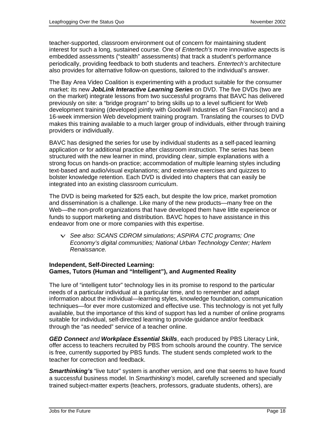teacher-supported, classroom environment out of concern for maintaining student interest for such a long, sustained course. One of Entertech's more innovative aspects is embedded assessments ("stealth" assessments) that track a student's performance periodically, providing feedback to both students and teachers. Entertech's architecture also provides for alternative follow-on questions, tailored to the individual's answer.

The Bay Area Video Coalition is experimenting with a product suitable for the consumer market: its new **JobLink Interactive Learning Series** on DVD. The five DVDs (two are on the market) integrate lessons from two successful programs that BAVC has delivered previously on site: a "bridge program" to bring skills up to a level sufficient for Web development training (developed jointly with Goodwill Industries of San Francisco) and a 16-week immersion Web development training program. Translating the courses to DVD makes this training available to a much larger group of individuals, either through training providers or individually.

BAVC has designed the series for use by individual students as a self-paced learning application or for additional practice after classroom instruction. The series has been structured with the new learner in mind, providing clear, simple explanations with a strong focus on hands-on practice; accommodation of multiple learning styles including text-based and audio/visual explanations; and extensive exercises and quizzes to bolster knowledge retention. Each DVD is divided into chapters that can easily be integrated into an existing classroom curriculum.

The DVD is being marketed for \$25 each, but despite the low price, market promotion and dissemination is a challenge. Like many of the new products—many free on the Web—the non-profit organizations that have developed them have little experience or funds to support marketing and distribution. BAVC hopes to have assistance in this endeavor from one or more companies with this expertise.

 $\vee$  See also: SCANS CDROM simulations; ASPIRA CTC programs; One Economy's digital communities; National Urban Technology Center; Harlem Renaissance.

#### **Independent, Self-Directed Learning: Games, Tutors (Human and "Intelligent"), and Augmented Reality**

The lure of "intelligent tutor" technology lies in its promise to respond to the particular needs of a particular individual at a particular time, and to remember and adapt information about the individual—learning styles, knowledge foundation, communication techniques—for ever more customized and effective use. This technology is not yet fully available, but the importance of this kind of support has led a number of online programs suitable for individual, self-directed learning to provide guidance and/or feedback through the "as needed" service of a teacher online.

**GED Connect** and **Workplace Essential Skills**, each produced by PBS Literacy Link, offer access to teachers recruited by PBS from schools around the country. The service is free, currently supported by PBS funds. The student sends completed work to the teacher for correction and feedback.

**Smarthinking's** "live tutor" system is another version, and one that seems to have found a successful business model. In Smarthinking's model, carefully screened and specially trained subject-matter experts (teachers, professors, graduate students, others), are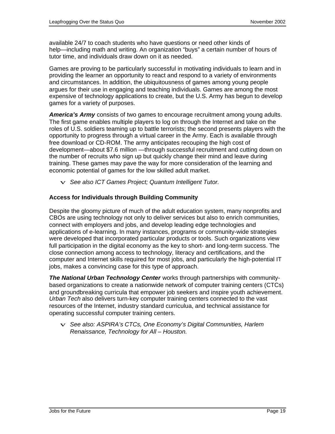available 24/7 to coach students who have questions or need other kinds of help—including math and writing. An organization "buys" a certain number of hours of tutor time, and individuals draw down on it as needed.

Games are proving to be particularly successful in motivating individuals to learn and in providing the learner an opportunity to react and respond to a variety of environments and circumstances. In addition, the ubiquitousness of games among young people argues for their use in engaging and teaching individuals. Games are among the most expensive of technology applications to create, but the U.S. Army has begun to develop games for a variety of purposes.

**America's Army** consists of two games to encourage recruitment among young adults. The first game enables multiple players to log on through the Internet and take on the roles of U.S. soldiers teaming up to battle terrorists; the second presents players with the opportunity to progress through a virtual career in the Army. Each is available through free download or CD-ROM. The army anticipates recouping the high cost of development—about \$7.6 million —through successful recruitment and cutting down on the number of recruits who sign up but quickly change their mind and leave during training. These games may pave the way for more consideration of the learning and economic potential of games for the low skilled adult market.

 $\vee$  See also ICT Games Project; Quantum Intelligent Tutor.

#### **Access for Individuals through Building Community**

Despite the gloomy picture of much of the adult education system, many nonprofits and CBOs are using technology not only to deliver services but also to enrich communities, connect with employers and jobs, and develop leading edge technologies and applications of e-learning. In many instances, programs or community-wide strategies were developed that incorporated particular products or tools. Such organizations view full participation in the digital economy as the key to short- and long-term success. The close connection among access to technology, literacy and certifications, and the computer and Internet skills required for most jobs, and particularly the high-potential IT jobs, makes a convincing case for this type of approach.

**The National Urban Technology Center** works through partnerships with communitybased organizations to create a nationwide network of computer training centers (CTCs) and groundbreaking curricula that empower job seekers and inspire youth achievement. Urban Tech also delivers turn-key computer training centers connected to the vast resources of the Internet, industry standard curriculua, and technical assistance for operating successful computer training centers.

 $\vee$  See also: ASPIRA's CTCs, One Economy's Digital Communities, Harlem Renaissance, Technology for All – Houston.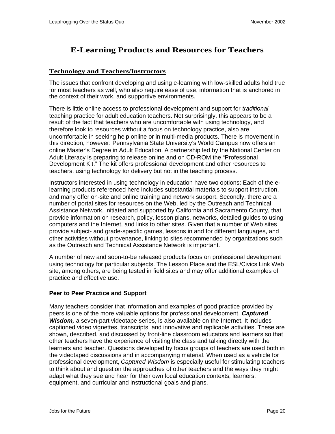### **E-Learning Products and Resources for Teachers**

#### **Technology and Teachers/Instructors**

The issues that confront developing and using e-learning with low-skilled adults hold true for most teachers as well, who also require ease of use, information that is anchored in the context of their work, and supportive environments.

There is little online access to professional development and support for *traditional* teaching practice for adult education teachers. Not surprisingly, this appears to be a result of the fact that teachers who are uncomfortable with using technology, and therefore look to resources without a focus on technology practice, also are uncomfortable in seeking help online or in multi-media products. There is movement in this direction, however: Pennsylvania State University's World Campus now offers an online Master's Degree in Adult Education. A partnership led by the National Center on Adult Literacy is preparing to release online and on CD-ROM the "Professional Development Kit." The kit offers professional development and other resources to teachers, using technology for delivery but not in the teaching process.

Instructors interested in using technology in education have two options: Each of the elearning products referenced here includes substantial materials to support instruction, and many offer on-site and online training and network support. Secondly, there are a number of portal sites for resources on the Web, led by the Outreach and Technical Assistance Network, initiated and supported by California and Sacramento County, that provide information on research, policy, lesson plans, networks, detailed guides to using computers and the Internet, and links to other sites. Given that a number of Web sites provide subject- and grade-specific games, lessons in and for different languages, and other activities without provenance, linking to sites recommended by organizations such as the Outreach and Technical Assistance Network is important.

A number of new and soon-to-be released products focus on professional development using technology for particular subjects. The Lesson Place and the ESL/Civics Link Web site, among others, are being tested in field sites and may offer additional examples of practice and effective use.

#### **Peer to Peer Practice and Support**

Many teachers consider that information and examples of good practice provided by peers is one of the more valuable options for professional development. **Captured Wisdom,** a seven-part videotape series, is also available on the Internet. It includes captioned video vignettes, transcripts, and innovative and replicable activities. These are shown, described, and discussed by front-line classroom educators and learners so that other teachers have the experience of visiting the class and talking directly with the learners and teacher. Questions developed by focus groups of teachers are used both in the videotaped discussions and in accompanying material. When used as a vehicle for professional development, Captured Wisdom is especially useful for stimulating teachers to think about and question the approaches of other teachers and the ways they might adapt what they see and hear for their own local education contexts, learners, equipment, and curricular and instructional goals and plans.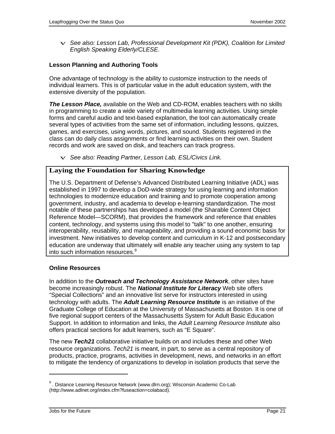$\vee$  See also: Lesson Lab, Professional Development Kit (PDK), Coalition for Limited English Speaking Elderly/CLESE.

#### **Lesson Planning and Authoring Tools**

One advantage of technology is the ability to customize instruction to the needs of individual learners. This is of particular value in the adult education system, with the extensive diversity of the population.

**The Lesson Place,** available on the Web and CD-ROM, enables teachers with no skills in programming to create a wide variety of multimedia learning activities. Using simple forms and careful audio and text-based explanation, the tool can automatically create several types of activities from the same set of information, including lessons, quizzes, games, and exercises, using words, pictures, and sound. Students registered in the class can do daily class assignments or find learning activities on their own. Student records and work are saved on disk, and teachers can track progress.

v See also: Reading Partner, Lesson Lab, ESL/Civics Link.

#### **Laying the Foundation for Sharing Knowledge**

The U.S. Department of Defense's Advanced Distributed Learning Initiative (ADL) was established in 1997 to develop a DoD-wide strategy for using learning and information technologies to modernize education and training and to promote cooperation among government, industry, and academia to develop e-learning standardization. The most notable of these partnerships has developed a model (the Sharable Content Object Reference Model—SCORM), that provides the framework and reference that enables content, technology, and systems using this model to "talk" to one another, ensuring interoperability, reusability, and manageability, and providing a sound economic basis for investment. New initiatives to develop content and curriculum in K-12 and postsecondary education are underway that ultimately will enable any teacher using any system to tap into such information resources.<sup>9</sup>

#### **Online Resources**

In addition to the **Outreach and Technology Assistance Network**, other sites have become increasingly robust. The **National Institute for Literacy** Web site offers "Special Collections" and an innovative list serve for instructors interested in using technology with adults. The **Adult Learning Resource Institute** is an initiative of the Graduate College of Education at the University of Massachusetts at Boston. It is one of five regional support centers of the Massachusetts System for Adult Basic Education Support. In addition to information and links, the Adult Learning Resource Institute also offers practical sections for adult learners, such as "E Square".

The new **Tech21** collaborative initiative builds on and includes these and other Web resource organizations. Tech21 is meant, in part, to serve as a central repository of products, practice, programs, activities in development, news, and networks in an effort to mitigate the tendency of organizations to develop in isolation products that serve the

l

<sup>&</sup>lt;sup>9</sup>. Distance Learning Resource Network (www.dlrn.org); Wisconsin Academic Co-Lab [\(http://www.adlnet.org/index.cfm?fuseaction=colabacd\).](http://www.adlnet.org/index.cfm?fuseaction=colabacd)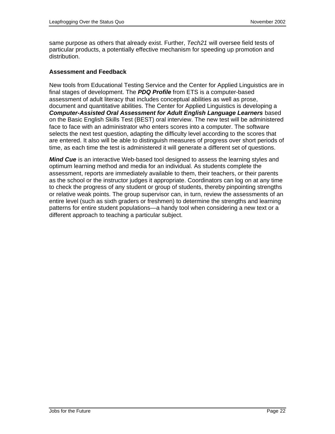same purpose as others that already exist. Further, Tech21 will oversee field tests of particular products, a potentially effective mechanism for speeding up promotion and distribution.

#### **Assessment and Feedback**

New tools from Educational Testing Service and the Center for Applied Linguistics are in final stages of development. The **PDQ Profile** from ETS is a computer-based assessment of adult literacy that includes conceptual abilities as well as prose, document and quantitative abilities. The Center for Applied Linguistics is developing a **Computer-Assisted Oral Assessment for Adult English Language Learners** based on the Basic English Skills Test (BEST) oral interview. The new test will be administered face to face with an administrator who enters scores into a computer. The software selects the next test question, adapting the difficulty level according to the scores that are entered. It also will be able to distinguish measures of progress over short periods of time, as each time the test is administered it will generate a different set of questions.

**Mind Cue** is an interactive Web-based tool designed to assess the learning styles and optimum learning method and media for an individual. As students complete the assessment, reports are immediately available to them, their teachers, or their parents as the school or the instructor judges it appropriate. Coordinators can log on at any time to check the progress of any student or group of students, thereby pinpointing strengths or relative weak points. The group supervisor can, in turn, review the assessments of an entire level (such as sixth graders or freshmen) to determine the strengths and learning patterns for entire student populations—a handy tool when considering a new text or a different approach to teaching a particular subject.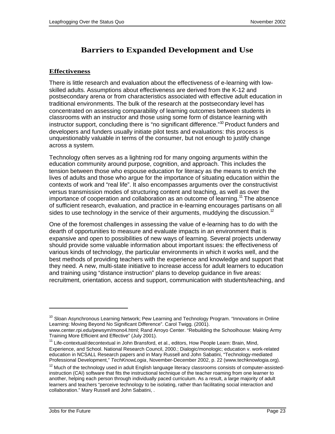### **Barriers to Expanded Development and Use**

#### **Effectiveness**

There is little research and evaluation about the effectiveness of e-learning with lowskilled adults. Assumptions about effectiveness are derived from the K-12 and postsecondary arena or from characteristics associated with effective adult education in traditional environments. The bulk of the research at the postsecondary level has concentrated on assessing comparability of learning outcomes between students in classrooms with an instructor and those using some form of distance learning with instructor support, concluding there is "no significant difference."<sup>10</sup> Product funders and developers and funders usually initiate pilot tests and evaluations: this process is unquestionably valuable in terms of the consumer, but not enough to justify change across a system.

Technology often serves as a lightning rod for many ongoing arguments within the education community around purpose, cognition, and approach. This includes the tension between those who espouse education for literacy as the means to enrich the lives of adults and those who argue for the importance of situating education within the contexts of work and "real life". It also encompasses arguments over the constructivist versus transmission modes of structuring content and teaching, as well as over the importance of cooperation and collaboration as an outcome of learning.<sup>11</sup> The absence of sufficient research, evaluation, and practice in e-learning encourages partisans on all sides to use technology in the service of their arguments, muddying the discussion.<sup>12</sup>

One of the foremost challenges in assessing the value of e-learning has to do with the dearth of opportunities to measure and evaluate impacts in an environment that is expansive and open to possibilities of new ways of learning. Several projects underway should provide some valuable information about important issues: the effectiveness of various kinds of technology, the particular environments in which it works well, and the best methods of providing teachers with the experience and knowledge and support that they need. A new, multi-state initiative to increase access for adult learners to education and training using "distance instruction" plans to develop guidance in five areas: recruitment, orientation, access and support, communication with students/teaching, and

l

<sup>&</sup>lt;sup>10</sup> Sloan Asynchronous Learning Network; Pew Learning and Technology Program. "Innovations in Online Learning: Moving Beyond No Significant Difference". Carol Twigg. (2001).

www.center.rpi.edu/pewsym/mono4.html; Rand Arroyo Center. "Rebuilding the Schoolhouse: Making Army Training More Efficient and Effective" (July 2001).

<sup>&</sup>lt;sup>11</sup> Life-contextual/decontextual in John Bransford, et al., editors, How People Learn: Brain, Mind, Experience, and School. National Research Council, 2000.; Dialogic/monologic; education v. work-related education in NCSALL Research papers and in Mary Russell and John Sabatini, "Technology-mediated Professional Development," TechKnowLogia, November-December 2002, p. 22 (www.techknowlogia.org).

<sup>&</sup>lt;sup>12</sup> Much of the technology used in adult English language literacy classrooms consists of computer-assistedinstruction (CAI) software that fits the instructional technique of the teacher roaming from one learner to another, helping each person through individually paced curriculum. As a result, a large majority of adult learners and teachers "perceive technology to be isolating, rather than facilitating social interaction and collaboration." Mary Russell and John Sabatini, .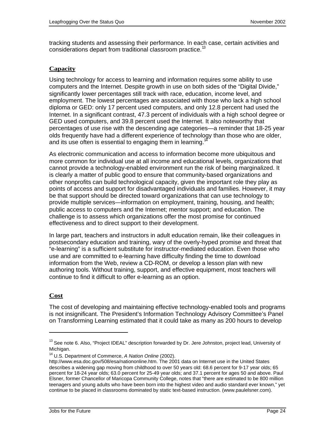tracking students and assessing their performance. In each case, certain activities and considerations depart from traditional classroom practice.<sup>13</sup>

#### **Capacity**

Using technology for access to learning and information requires some ability to use computers and the Internet. Despite growth in use on both sides of the "Digital Divide," significantly lower percentages still track with race, education, income level, and employment. The lowest percentages are associated with those who lack a high school diploma or GED: only 17 percent used computers, and only 12.8 percent had used the Internet. In a significant contrast, 47.3 percent of individuals with a high school degree or GED used computers, and 39.8 percent used the Internet. It also noteworthy that percentages of use rise with the descending age categories—a reminder that 18-25 year olds frequently have had a different experience of technology than those who are older, and its use often is essential to engaging them in learning.<sup>1</sup>

As electronic communication and access to information become more ubiquitous and more common for individual use at all income and educational levels, organizations that cannot provide a technology-enabled environment run the risk of being marginalized. It is clearly a matter of public good to ensure that community-based organizations and other nonprofits can build technological capacity, given the important role they play as points of access and support for disadvantaged individuals and families. However, it may be that support should be directed toward organizations that can use technology to provide multiple services—information on employment, training, housing, and health; public access to computers and the Internet; mentor support; and education. The challenge is to assess which organizations offer the most promise for continued effectiveness and to direct support to their development.

In large part, teachers and instructors in adult education remain, like their colleagues in postsecondary education and training, wary of the overly-hyped promise and threat that "e-learning" is a sufficient substitute for instructor-mediated education. Even those who use and are committed to e-learning have difficulty finding the time to download information from the Web, review a CD-ROM, or develop a lesson plan with new authoring tools. Without training, support, and effective equipment, most teachers will continue to find it difficult to offer e-learning as an option.

#### **Cost**

The cost of developing and maintaining effective technology-enabled tools and programs is not insignificant. The President's Information Technology Advisory Committee's Panel on Transforming Learning estimated that it could take as many as 200 hours to develop

<sup>&</sup>lt;sup>13</sup> See note 6. Also, "Project IDEAL" description forwarded by Dr. Jere Johnston, project lead, University of Michigan.

<sup>&</sup>lt;sup>14</sup> U.S. Department of Commerce, A Nation Online (2002).

[http://www.esa.doc.gov/508/esa/nationonline.htm.](http://www.esa.doc.gov/508/esa/nationonline.htm) The 2001 data on Internet use in the United States describes a widening gap moving from childhood to over 50 years old: 68.6 percent for 9-17 year olds; 65 percent for 18-24 year olds; 63.0 percent for 25-49 year olds; and 37.1 percent for ages 50 and above. Paul Elsner, former Chancellor of Maricopa Community College, notes that "there are estimated to be 800 million teenagers and young adults who have been born into the highest video and audio standard ever known," yet continue to be placed in classrooms dominated by static text-based instruction. (www.paulelsner.com).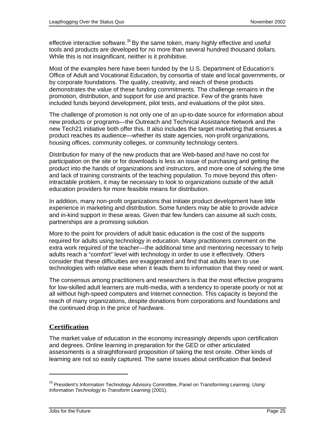effective interactive software.<sup>15</sup> By the same token, many highly effective and useful tools and products are developed for no more than several hundred thousand dollars. While this is not insignificant, neither is it prohibitive.

Most of the examples here have been funded by the U.S. Department of Education's Office of Adult and Vocational Education, by consortia of state and local governments, or by corporate foundations. The quality, creativity, and reach of these products demonstrates the value of these funding commitments. The challenge remains in the promotion, distribution, and support for use and practice. Few of the grants have included funds beyond development, pilot tests, and evaluations of the pilot sites.

The challenge of promotion is not only one of an up-to-date source for information about new products or programs—the Outreach and Technical Assistance Network and the new Tech21 initiative both offer this. It also includes the target marketing that ensures a product reaches its audience—whether its state agencies, non-profit organizations, housing offices, community colleges, or community technology centers.

Distribution for many of the new products that are Web-based and have no cost for participation on the site or for downloads is less an issue of purchasing and getting the product into the hands of organizations and instructors, and more one of solving the time and lack of training constraints of the teaching population. To move beyond this oftenintractable problem, it may be necessary to look to organizations outside of the adult education providers for more feasible means for distribution.

In addition, many non-profit organizations that initiate product development have little experience in marketing and distribution. Some funders may be able to provide advice and in-kind support in these areas. Given that few funders can assume all such costs, partnerships are a promising solution.

More to the point for providers of adult basic education is the cost of the supports required for adults using technology in education. Many practitioners comment on the extra work required of the teacher—the additional time and mentoring necessary to help adults reach a "comfort" level with technology in order to use it effectively. Others consider that these difficulties are exaggerated and find that adults learn to use technologies with relative ease when it leads them to information that they need or want.

The consensus among practitioners and researchers is that the most effective programs for low-skilled adult learners are multi-media, with a tendency to operate poorly or not at all without high-speed computers and Internet connection. This capacity is beyond the reach of many organizations, despite donations from corporations and foundations and the continued drop in the price of hardware.

#### **Certification**

The market value of education in the economy increasingly depends upon certification and degrees. Online learning in preparation for the GED or other articulated assessments is a straightforward proposition of taking the test onsite. Other kinds of learning are not so easily captured. The same issues about certification that bedevil

l

<sup>&</sup>lt;sup>15</sup> President's Information Technology Advisory Committee, Panel on Transforming Learning. Using Information Technology to Transform Learning (2001).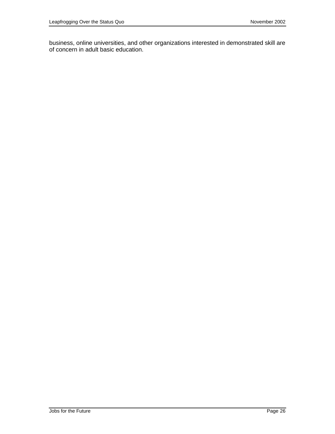business, online universities, and other organizations interested in demonstrated skill are of concern in adult basic education.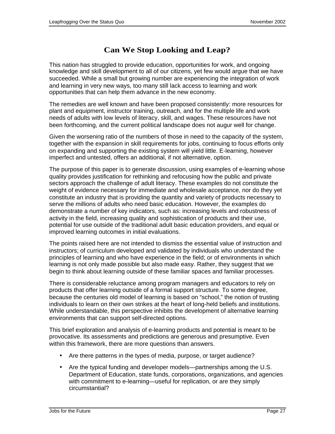### **Can We Stop Looking and Leap?**

This nation has struggled to provide education, opportunities for work, and ongoing knowledge and skill development to all of our citizens, yet few would argue that we have succeeded. While a small but growing number are experiencing the integration of work and learning in very new ways, too many still lack access to learning and work opportunities that can help them advance in the new economy.

The remedies are well known and have been proposed consistently: more resources for plant and equipment, instructor training, outreach, and for the multiple life and work needs of adults with low levels of literacy, skill, and wages. These resources have not been forthcoming, and the current political landscape does not augur well for change.

Given the worsening ratio of the numbers of those in need to the capacity of the system, together with the expansion in skill requirements for jobs, continuing to focus efforts only on expanding and supporting the existing system will yield little. E-learning, however imperfect and untested, offers an additional, if not alternative, option.

The purpose of this paper is to generate discussion, using examples of e-learning whose quality provides justification for rethinking and refocusing how the public and private sectors approach the challenge of adult literacy. These examples do not constitute the weight of evidence necessary for immediate and wholesale acceptance, nor do they yet constitute an industry that is providing the quantity and variety of products necessary to serve the millions of adults who need basic education. However, the examples do demonstrate a number of key indicators, such as: increasing levels and robustness of activity in the field, increasing quality and sophistication of products and their use, potential for use outside of the traditional adult basic education providers, and equal or improved learning outcomes in initial evaluations.

The points raised here are not intended to dismiss the essential value of instruction and instructors; of curriculum developed and validated by individuals who understand the principles of learning and who have experience in the field; or of environments in which learning is not only made possible but also made easy. Rather, they suggest that we begin to think about learning outside of these familiar spaces and familiar processes.

There is considerable reluctance among program managers and educators to rely on products that offer learning outside of a formal support structure. To some degree, because the centuries old model of learning is based on "school," the notion of trusting individuals to learn on their own strikes at the heart of long-held beliefs and institutions. While understandable, this perspective inhibits the development of alternative learning environments that can support self-directed options.

This brief exploration and analysis of e-learning products and potential is meant to be provocative. Its assessments and predictions are generous and presumptive. Even within this framework, there are more questions than answers.

- Are there patterns in the types of media, purpose, or target audience?
- Are the typical funding and developer models—partnerships among the U.S. Department of Education, state funds, corporations, organizations, and agencies with commitment to e-learning—useful for replication, or are they simply circumstantial?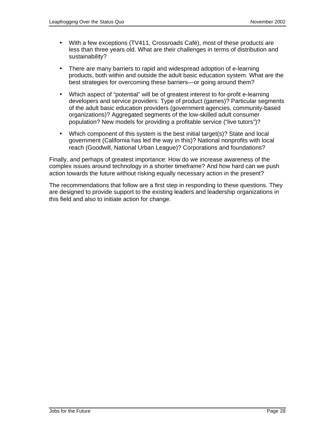- With a few exceptions (TV411, Crossroads Café), most of these products are less than three years old. What are their challenges in terms of distribution and sustainability?
- There are many barriers to rapid and widespread adoption of e-learning products, both within and outside the adult basic education system. What are the best strategies for overcoming these barriers—or going around them?
- Which aspect of "potential" will be of greatest interest to for-profit e-learning developers and service providers: Type of product (games)? Particular segments of the adult basic education providers (government agencies, community-based organizations)? Aggregated segments of the low-skilled adult consumer population? New models for providing a profitable service ("live tutors")?
- Which component of this system is the best initial target(s)? State and local government (California has led the way in this)? National nonprofits with local reach (Goodwill, National Urban League)? Corporations and foundations?

Finally, and perhaps of greatest importance: How do we increase awareness of the complex issues around technology in a shorter timeframe? And how hard can we push action towards the future without risking equally necessary action in the present?

The recommendations that follow are a first step in responding to these questions. They are designed to provide support to the existing leaders and leadership organizations in this field and also to initiate action for change.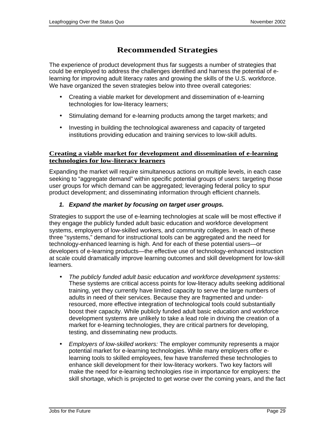### **Recommended Strategies**

The experience of product development thus far suggests a number of strategies that could be employed to address the challenges identified and harness the potential of elearning for improving adult literacy rates and growing the skills of the U.S. workforce. We have organized the seven strategies below into three overall categories:

- Creating a viable market for development and dissemination of e-learning technologies for low-literacy learners;
- Stimulating demand for e-learning products among the target markets; and
- Investing in building the technological awareness and capacity of targeted institutions providing education and training services to low-skill adults.

#### **Creating a viable market for development and dissemination of e-learning technologies for low-literacy learners**

Expanding the market will require simultaneous actions on multiple levels, in each case seeking to "aggregate demand" within specific potential groups of users: targeting those user groups for which demand can be aggregated; leveraging federal policy to spur product development; and disseminating information through efficient channels.

#### **1. Expand the market by focusing on target user groups.**

Strategies to support the use of e-learning technologies at scale will be most effective if they engage the publicly funded adult basic education and workforce development systems, employers of low-skilled workers, and community colleges. In each of these three "systems," demand for instructional tools can be aggregated and the need for technology-enhanced learning is high. And for each of these potential users—or developers of e-learning products—the effective use of technology-enhanced instruction at scale could dramatically improve learning outcomes and skill development for low-skill learners.

- The publicly funded adult basic education and workforce development systems: These systems are critical access points for low-literacy adults seeking additional training, yet they currently have limited capacity to serve the large numbers of adults in need of their services. Because they are fragmented and underresourced, more effective integration of technological tools could substantially boost their capacity. While publicly funded adult basic education and workforce development systems are unlikely to take a lead role in driving the creation of a market for e-learning technologies, they are critical partners for developing, testing, and disseminating new products.
- Employers of low-skilled workers: The employer community represents a major potential market for e-learning technologies. While many employers offer elearning tools to skilled employees, few have transferred these technologies to enhance skill development for their low-literacy workers. Two key factors will make the need for e-learning technologies rise in importance for employers: the skill shortage, which is projected to get worse over the coming years, and the fact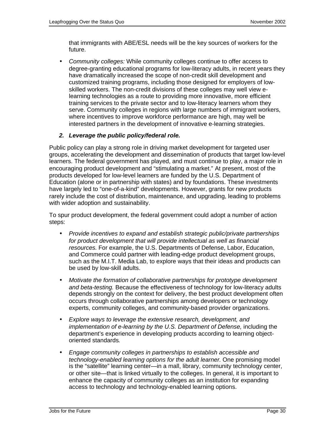that immigrants with ABE/ESL needs will be the key sources of workers for the future.

• Community colleges: While community colleges continue to offer access to degree-granting educational programs for low-literacy adults, in recent years they have dramatically increased the scope of non-credit skill development and customized training programs, including those designed for employers of lowskilled workers. The non-credit divisions of these colleges may well view elearning technologies as a route to providing more innovative, more efficient training services to the private sector and to low-literacy learners whom they serve. Community colleges in regions with large numbers of immigrant workers, where incentives to improve workforce performance are high, may well be interested partners in the development of innovative e-learning strategies.

#### **2. Leverage the public policy/federal role.**

Public policy can play a strong role in driving market development for targeted user groups, accelerating the development and dissemination of products that target low-level learners. The federal government has played, and must continue to play, a major role in encouraging product development and "stimulating a market." At present, most of the products developed for low-level learners are funded by the U.S. Department of Education (alone or in partnership with states) and by foundations. These investments have largely led to "one-of-a-kind" developments. However, grants for new products rarely include the cost of distribution, maintenance, and upgrading, leading to problems with wider adoption and sustainability.

To spur product development, the federal government could adopt a number of action steps:

- Provide incentives to expand and establish strategic public/private partnerships for product development that will provide intellectual as well as financial resources. For example, the U.S. Departments of Defense, Labor, Education, and Commerce could partner with leading-edge product development groups, such as the M.I.T. Media Lab, to explore ways that their ideas and products can be used by low-skill adults.
- Motivate the formation of collaborative partnerships for prototype development and beta-testing. Because the effectiveness of technology for low-literacy adults depends strongly on the context for delivery, the best product development often occurs through collaborative partnerships among developers or technology experts, community colleges, and community-based provider organizations.
- Explore ways to leverage the extensive research, development, and implementation of e-learning by the U.S. Department of Defense, including the department's experience in developing products according to learning objectoriented standards.
- Engage community colleges in partnerships to establish accessible and technology-enabled learning options for the adult learner. One promising model is the "satellite" learning center—in a mall, library, community technology center, or other site—that is linked virtually to the colleges. In general, it is important to enhance the capacity of community colleges as an institution for expanding access to technology and technology-enabled learning options.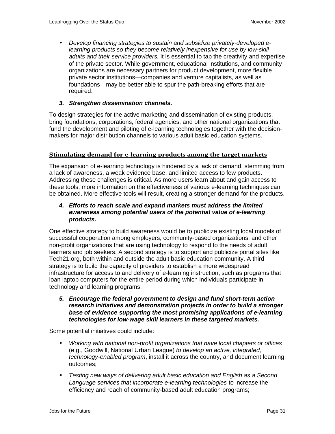• Develop financing strategies to sustain and subsidize privately-developed elearning products so they become relatively inexpensive for use by low-skill adults and their service providers. It is essential to tap the creativity and expertise of the private sector. While government, educational institutions, and community organizations are necessary partners for product development, more flexible private sector institutions—companies and venture capitalists, as well as foundations—may be better able to spur the path-breaking efforts that are required.

#### **3. Strengthen dissemination channels.**

To design strategies for the active marketing and dissemination of existing products, bring foundations, corporations, federal agencies, and other national organizations that fund the development and piloting of e-learning technologies together with the decisionmakers for major distribution channels to various adult basic education systems.

#### **Stimulating demand for e-learning products among the target markets**

The expansion of e-learning technology is hindered by a lack of demand, stemming from a lack of awareness, a weak evidence base, and limited access to few products. Addressing these challenges is critical. As more users learn about and gain access to these tools, more information on the effectiveness of various e-learning techniques can be obtained. More effective tools will result, creating a stronger demand for the products.

#### **4. Efforts to reach scale and expand markets must address the limited awareness among potential users of the potential value of e-learning products.**

One effective strategy to build awareness would be to publicize existing local models of successful cooperation among employers, community-based organizations, and other non-profit organizations that are using technology to respond to the needs of adult learners and job seekers. A second strategy is to support and publicize portal sites like Tech21.org, both within and outside the adult basic education community. A third strategy is to build the capacity of providers to establish a more widespread infrastructure for access to and delivery of e-learning instruction, such as programs that loan laptop computers for the entire period during which individuals participate in technology and learning programs.

**5. Encourage the federal government to design and fund short-term action research initiatives and demonstration projects in order to build a stronger base of evidence supporting the most promising applications of e-learning technologies for low-wage skill learners in these targeted markets.**

Some potential initiatives could include:

- Working with national non-profit organizations that have local chapters or offices (e.g., Goodwill, National Urban League) to develop an active, integrated, technology-enabled program, install it across the country, and document learning outcomes;
- Testing new ways of delivering adult basic education and English as a Second Language services that incorporate e-learning technologies to increase the efficiency and reach of community-based adult education programs;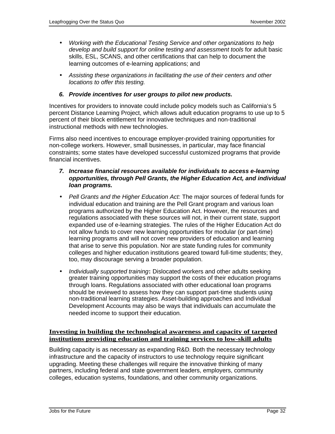- Working with the Educational Testing Service and other organizations to help develop and build support for online testing and assessment tools for adult basic skills, ESL, SCANS, and other certifications that can help to document the learning outcomes of e-learning applications; and
- Assisting these organizations in facilitating the use of their centers and other locations to offer this testing.

#### **6. Provide incentives for user groups to pilot new products.**

Incentives for providers to innovate could include policy models such as California's 5 percent Distance Learning Project, which allows adult education programs to use up to 5 percent of their block entitlement for innovative techniques and non-traditional instructional methods with new technologies.

Firms also need incentives to encourage employer-provided training opportunities for non-college workers. However, small businesses, in particular, may face financial constraints; some states have developed successful customized programs that provide financial incentives.

#### **7. Increase financial resources available for individuals to access e-learning opportunities, through Pell Grants, the Higher Education Act, and individual loan programs.**

- Pell Grants and the Higher Education Act: The major sources of federal funds for individual education and training are the Pell Grant program and various loan programs authorized by the Higher Education Act. However, the resources and regulations associated with these sources will not, in their current state, support expanded use of e-learning strategies. The rules of the Higher Education Act do not allow funds to cover new learning opportunities for modular (or part-time) learning programs and will not cover new providers of education and learning that arise to serve this population. Nor are state funding rules for community colleges and higher education institutions geared toward full-time students; they, too, may discourage serving a broader population.
- Individually supported training**:** Dislocated workers and other adults seeking greater training opportunities may support the costs of their education programs through loans. Regulations associated with other educational loan programs should be reviewed to assess how they can support part-time students using non-traditional learning strategies. Asset-building approaches and Individual Development Accounts may also be ways that individuals can accumulate the needed income to support their education.

#### **Investing in building the technological awareness and capacity of targeted institutions providing education and training services to low-skill adults**

Building capacity is as necessary as expanding R&D. Both the necessary technology infrastructure and the capacity of instructors to use technology require significant upgrading. Meeting these challenges will require the innovative thinking of many partners, including federal and state government leaders, employers, community colleges, education systems, foundations, and other community organizations.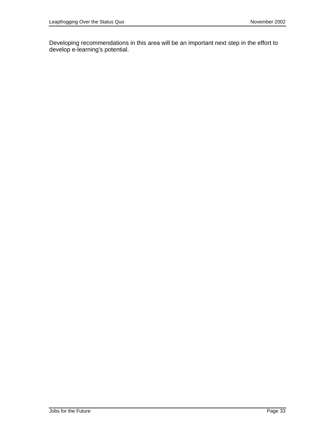Developing recommendations in this area will be an important next step in the effort to develop e-learning's potential.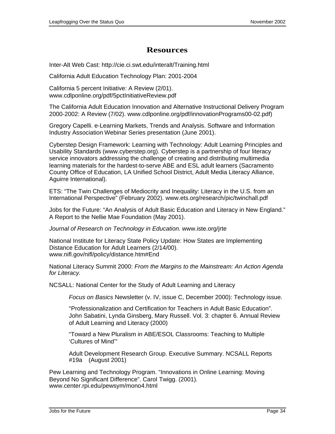### **Resources**

Inter-Alt Web Cast: <http://cie.ci.swt.edu/interalt/Training.html>

California Adult Education Technology Plan: 2001-2004

California 5 percent Initiative: A Review (2/01). www.cdlponline.org/pdf/5pctInitiativeReview.pdf

The California Adult Education Innovation and Alternative Instructional Delivery Program 2000-2002: A Review (7/02). www.cdlponline.org/pdf/innovationPrograms00-02.pdf)

Gregory Capelli. e-Learning Markets, Trends and Analysis. Software and Information Industry Association Webinar Series presentation (June 2001).

Cyberstep Design Framework: Learning with Technology: Adult Learning Principles and Usability Standards (www.cyberstep.org). Cyberstep is a partnership of four literacy service innovators addressing the challenge of creating and distributing multimedia learning materials for the hardest-to-serve ABE and ESL adult learners (Sacramento County Office of Education, LA Unified School District, Adult Media Literacy Alliance, Aguirre International).

ETS: "The Twin Challenges of Mediocrity and Inequality: Literacy in the U.S. from an International Perspective" (February 2002). www.ets.org/research/pic/twinchall.pdf

Jobs for the Future: "An Analysis of Adult Basic Education and Literacy in New England." A Report to the Nellie Mae Foundation (May 2001).

Journal of Research on Technology in Education. www.iste.org/jrte

National Institute for Literacy State Policy Update: How States are Implementing Distance Education for Adult Learners (2/14/00). www.nifl.gov/nifl/policy/distance.htm#End

National Literacy Summit 2000: From the Margins to the Mainstream: An Action Agenda for Literacy.

NCSALL: National Center for the Study of Adult Learning and Literacy

Focus on Basics Newsletter (v. IV, issue C, December 2000): Technology issue.

"Professionalization and Certification for Teachers in Adult Basic Education". John Sabatini, Lynda Ginsberg, Mary Russell. Vol. 3: chapter 6. Annual Review of Adult Learning and Literacy (2000)

"Toward a New Pluralism in ABE/ESOL Classrooms: Teaching to Multiple 'Cultures of Mind'"

Adult Development Research Group. Executive Summary. NCSALL Reports #19a (August 2001)

Pew Learning and Technology Program. "Innovations in Online Learning: Moving Beyond No Significant Difference". Carol Twigg. (2001). www.center.rpi.edu/pewsym/mono4.html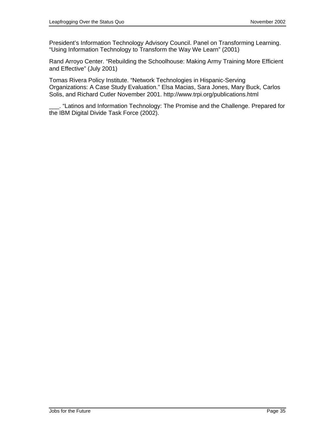President's Information Technology Advisory Council. Panel on Transforming Learning. "Using Information Technology to Transform the Way We Learn" (2001)

Rand Arroyo Center. "Rebuilding the Schoolhouse: Making Army Training More Efficient and Effective" (July 2001)

Tomas Rivera Policy Institute. "Network Technologies in Hispanic-Serving Organizations: A Case Study Evaluation." Elsa Macias, Sara Jones, Mary Buck, Carlos Solis, and Richard Cutler November 2001.<http://www.trpi.org/publications.html>

\_\_\_. "Latinos and Information Technology: The Promise and the Challenge. Prepared for the IBM Digital Divide Task Force (2002).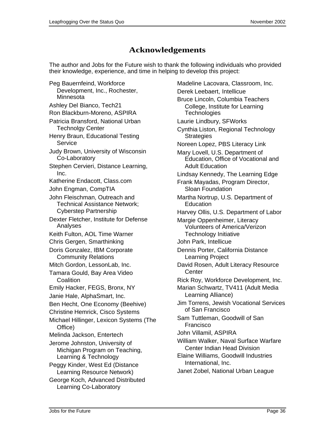### **Acknowledgements**

The author and Jobs for the Future wish to thank the following individuals who provided their knowledge, experience, and time in helping to develop this project:

Peg Bauernfeind, Workforce Development, Inc., Rochester, Minnesota Ashley Del Bianco, Tech21 Ron Blackburn-Moreno, ASPIRA Patricia Bransford, National Urban Technolgy Center Henry Braun, Educational Testing **Service** Judy Brown, University of Wisconsin Co-Laboratory Stephen Cervieri, Distance Learning, Inc. Katherine Endacott, Class.com John Engman, CompTIA John Fleischman, Outreach and Technical Assistance Network; Cyberstep Partnership Dexter Fletcher, Institute for Defense Analyses Keith Fulton, AOL Time Warner Chris Gergen, Smarthinking Doris Gonzalez, IBM Corporate Community Relations Mitch Gordon, LessonLab, Inc. Tamara Gould, Bay Area Video **Coalition** Emily Hacker, FEGS, Bronx, NY Janie Hale, AlphaSmart, Inc. Ben Hecht, One Economy (Beehive) Christine Hemrick, Cisco Systems Michael Hillinger, Lexicon Systems (The Office) Melinda Jackson, Entertech Jerome Johnston, University of Michigan Program on Teaching, Learning & Technology Peggy Kinder, West Ed (Distance Learning Resource Network) George Koch, Advanced Distributed Learning Co-Laboratory

Madeline Lacovara, Classroom, Inc. Derek Leebaert, Intellicue Bruce Lincoln, Columbia Teachers College, Institute for Learning **Technologies** Laurie Lindbury, SFWorks Cynthia Liston, Regional Technology **Strategies** Noreen Lopez, PBS Literacy Link Mary Lovell, U.S. Department of Education, Office of Vocational and Adult Education Lindsay Kennedy, The Learning Edge Frank Mayadas, Program Director, Sloan Foundation Martha Nortrup, U.S. Department of Education Harvey Ollis, U.S. Department of Labor Margie Oppenheimer, Literacy Volunteers of America/Verizon Technology Initiative John Park, Intellicue Dennis Porter, California Distance Learning Project David Rosen, Adult Literacy Resource **Center** Rick Roy, Workforce Development, Inc. Marian Schwartz, TV411 (Adult Media Learning Alliance) Jim Torrens, Jewish Vocational Services of San Francisco Sam Tuttleman, Goodwill of San Francisco John Villamil, ASPIRA William Walker, Naval Surface Warfare Center Indian Head Division Elaine Williams, Goodwill Industries International, Inc. Janet Zobel, National Urban League